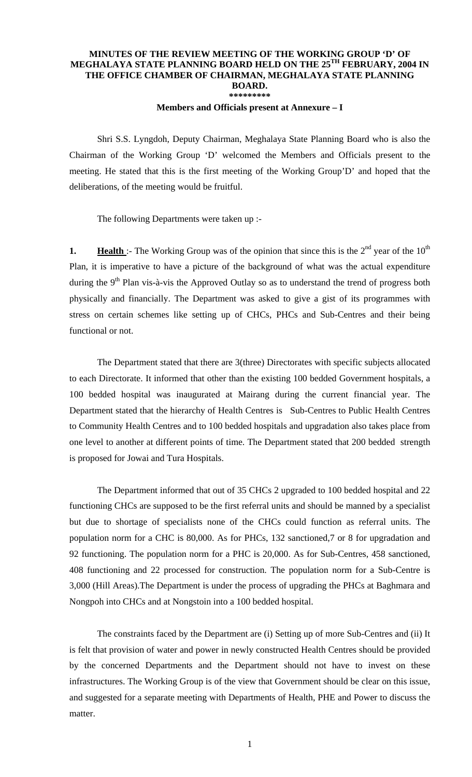## **MINUTES OF THE REVIEW MEETING OF THE WORKING GROUP 'D' OF MEGHALAYA STATE PLANNING BOARD HELD ON THE 25TH FEBRUARY, 2004 IN THE OFFICE CHAMBER OF CHAIRMAN, MEGHALAYA STATE PLANNING BOARD. \*\*\*\*\*\*\*\*\***

## **Members and Officials present at Annexure – I**

 Shri S.S. Lyngdoh, Deputy Chairman, Meghalaya State Planning Board who is also the Chairman of the Working Group 'D' welcomed the Members and Officials present to the meeting. He stated that this is the first meeting of the Working Group'D' and hoped that the deliberations, of the meeting would be fruitful.

The following Departments were taken up :-

**1. Health** :- The Working Group was of the opinion that since this is the  $2<sup>nd</sup>$  year of the  $10<sup>th</sup>$ Plan, it is imperative to have a picture of the background of what was the actual expenditure during the  $9<sup>th</sup>$  Plan vis-à-vis the Approved Outlay so as to understand the trend of progress both physically and financially. The Department was asked to give a gist of its programmes with stress on certain schemes like setting up of CHCs, PHCs and Sub-Centres and their being functional or not.

 The Department stated that there are 3(three) Directorates with specific subjects allocated to each Directorate. It informed that other than the existing 100 bedded Government hospitals, a 100 bedded hospital was inaugurated at Mairang during the current financial year. The Department stated that the hierarchy of Health Centres is Sub-Centres to Public Health Centres to Community Health Centres and to 100 bedded hospitals and upgradation also takes place from one level to another at different points of time. The Department stated that 200 bedded strength is proposed for Jowai and Tura Hospitals.

 The Department informed that out of 35 CHCs 2 upgraded to 100 bedded hospital and 22 functioning CHCs are supposed to be the first referral units and should be manned by a specialist but due to shortage of specialists none of the CHCs could function as referral units. The population norm for a CHC is 80,000. As for PHCs, 132 sanctioned,7 or 8 for upgradation and 92 functioning. The population norm for a PHC is 20,000. As for Sub-Centres, 458 sanctioned, 408 functioning and 22 processed for construction. The population norm for a Sub-Centre is 3,000 (Hill Areas).The Department is under the process of upgrading the PHCs at Baghmara and Nongpoh into CHCs and at Nongstoin into a 100 bedded hospital.

 The constraints faced by the Department are (i) Setting up of more Sub-Centres and (ii) It is felt that provision of water and power in newly constructed Health Centres should be provided by the concerned Departments and the Department should not have to invest on these infrastructures. The Working Group is of the view that Government should be clear on this issue, and suggested for a separate meeting with Departments of Health, PHE and Power to discuss the matter.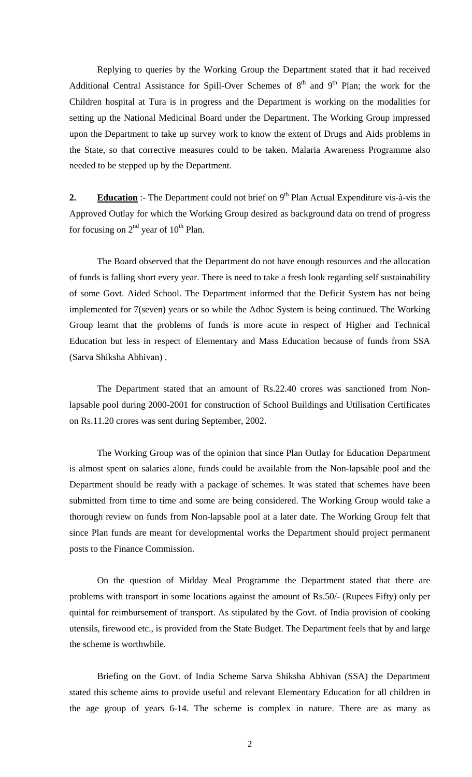Replying to queries by the Working Group the Department stated that it had received Additional Central Assistance for Spill-Over Schemes of  $8<sup>th</sup>$  and  $9<sup>th</sup>$  Plan; the work for the Children hospital at Tura is in progress and the Department is working on the modalities for setting up the National Medicinal Board under the Department. The Working Group impressed upon the Department to take up survey work to know the extent of Drugs and Aids problems in the State, so that corrective measures could to be taken. Malaria Awareness Programme also needed to be stepped up by the Department.

**2. Education** :- The Department could not brief on 9<sup>th</sup> Plan Actual Expenditure vis-à-vis the Approved Outlay for which the Working Group desired as background data on trend of progress for focusing on  $2<sup>nd</sup>$  year of  $10<sup>th</sup>$  Plan.

 The Board observed that the Department do not have enough resources and the allocation of funds is falling short every year. There is need to take a fresh look regarding self sustainability of some Govt. Aided School. The Department informed that the Deficit System has not being implemented for 7(seven) years or so while the Adhoc System is being continued. The Working Group learnt that the problems of funds is more acute in respect of Higher and Technical Education but less in respect of Elementary and Mass Education because of funds from SSA (Sarva Shiksha Abhivan) .

 The Department stated that an amount of Rs.22.40 crores was sanctioned from Nonlapsable pool during 2000-2001 for construction of School Buildings and Utilisation Certificates on Rs.11.20 crores was sent during September, 2002.

 The Working Group was of the opinion that since Plan Outlay for Education Department is almost spent on salaries alone, funds could be available from the Non-lapsable pool and the Department should be ready with a package of schemes. It was stated that schemes have been submitted from time to time and some are being considered. The Working Group would take a thorough review on funds from Non-lapsable pool at a later date. The Working Group felt that since Plan funds are meant for developmental works the Department should project permanent posts to the Finance Commission.

On the question of Midday Meal Programme the Department stated that there are problems with transport in some locations against the amount of Rs.50/- (Rupees Fifty) only per quintal for reimbursement of transport. As stipulated by the Govt. of India provision of cooking utensils, firewood etc., is provided from the State Budget. The Department feels that by and large the scheme is worthwhile.

 Briefing on the Govt. of India Scheme Sarva Shiksha Abhivan (SSA) the Department stated this scheme aims to provide useful and relevant Elementary Education for all children in the age group of years 6-14. The scheme is complex in nature. There are as many as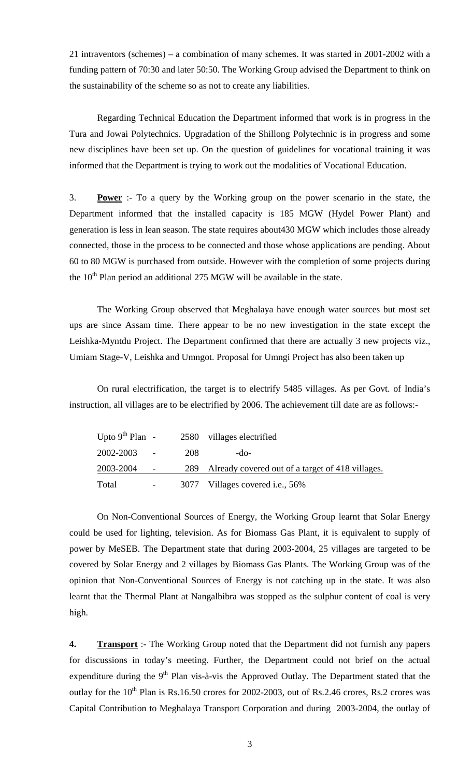21 intraventors (schemes) – a combination of many schemes. It was started in 2001-2002 with a funding pattern of 70:30 and later 50:50. The Working Group advised the Department to think on the sustainability of the scheme so as not to create any liabilities.

 Regarding Technical Education the Department informed that work is in progress in the Tura and Jowai Polytechnics. Upgradation of the Shillong Polytechnic is in progress and some new disciplines have been set up. On the question of guidelines for vocational training it was informed that the Department is trying to work out the modalities of Vocational Education.

3. **Power** :- To a query by the Working group on the power scenario in the state, the Department informed that the installed capacity is 185 MGW (Hydel Power Plant) and generation is less in lean season. The state requires about430 MGW which includes those already connected, those in the process to be connected and those whose applications are pending. About 60 to 80 MGW is purchased from outside. However with the completion of some projects during the  $10<sup>th</sup>$  Plan period an additional 275 MGW will be available in the state.

 The Working Group observed that Meghalaya have enough water sources but most set ups are since Assam time. There appear to be no new investigation in the state except the Leishka-Myntdu Project. The Department confirmed that there are actually 3 new projects viz., Umiam Stage-V, Leishka and Umngot. Proposal for Umngi Project has also been taken up

 On rural electrification, the target is to electrify 5485 villages. As per Govt. of India's instruction, all villages are to be electrified by 2006. The achievement till date are as follows:-

| Upto $9^{th}$ Plan - |                      |     | 2580 villages electrified                        |
|----------------------|----------------------|-----|--------------------------------------------------|
| 2002-2003            | $\sim 100$ m $^{-1}$ | 208 | -do-                                             |
| 2003-2004            | $\sim$ $-$           | 289 | Already covered out of a target of 418 villages. |
| Total                |                      |     | 3077 Villages covered i.e., 56%                  |

 On Non-Conventional Sources of Energy, the Working Group learnt that Solar Energy could be used for lighting, television. As for Biomass Gas Plant, it is equivalent to supply of power by MeSEB. The Department state that during 2003-2004, 25 villages are targeted to be covered by Solar Energy and 2 villages by Biomass Gas Plants. The Working Group was of the opinion that Non-Conventional Sources of Energy is not catching up in the state. It was also learnt that the Thermal Plant at Nangalbibra was stopped as the sulphur content of coal is very high.

**4. Transport** :- The Working Group noted that the Department did not furnish any papers for discussions in today's meeting. Further, the Department could not brief on the actual expenditure during the  $9<sup>th</sup>$  Plan vis-à-vis the Approved Outlay. The Department stated that the outlay for the  $10^{th}$  Plan is Rs.16.50 crores for 2002-2003, out of Rs.2.46 crores, Rs.2 crores was Capital Contribution to Meghalaya Transport Corporation and during 2003-2004, the outlay of